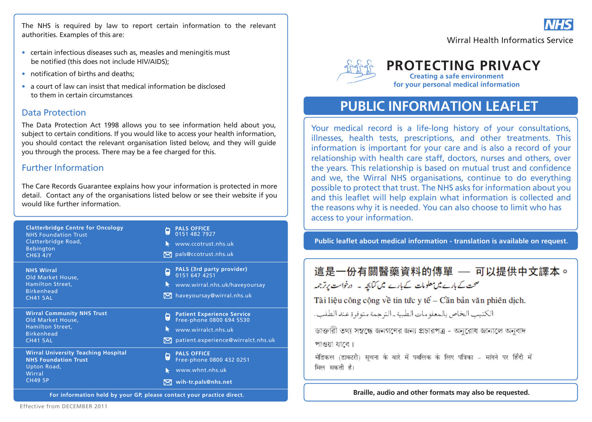The NHS is required by law to report certain information to the relevant authorities. Examples of this are:

- certain infectious diseases such as, measles and meningitis must be notified (this does not include HIV/AIDS);
- notification of births and deaths:
- a court of law can insist that medical information be disclosed to them in certain circumstances

### Data Protection

The Data Protection Act 1998 allows you to see information held about you, subject to certain conditions. If you would like to access your health information, you should contact the relevant organisation listed below, and they will guide you through the process. There may be a fee charged for this.

## Further Information

The Care Records Guarantee explains how your information is protected in more detail. Contact any of the organisations listed below or see their website if you would like further information.

| <b>Clatterbridge Centre for Oncology</b><br><b>NHS Foundation Trust</b><br>Clatterbridge Road,<br><b>Bebington</b><br><b>CH63 4JY</b> | <b>PALS OFFICE</b><br>o<br>ا ما<br>0151 482 7927<br>www.ccotrust.nhs.uk<br>$\bowtie$ pals@ccotrust.nhs.uk                                                                  |
|---------------------------------------------------------------------------------------------------------------------------------------|----------------------------------------------------------------------------------------------------------------------------------------------------------------------------|
| <b>NHS Wirral</b><br>Old Market House,<br>Hamilton Street,<br><b>Birkenhead</b><br><b>CH41 5AL</b>                                    | <b>PALS (3rd party provider)</b><br>o<br>G.<br>0151 647 4251<br>www.wirral.nhs.uk/haveyoursay<br>$\blacktriangleright$<br>$\boxtimes$ haveyoursay@wirral.nhs.uk            |
| <b>Wirral Community NHS Trust</b><br>Old Market House,<br>Hamilton Street,<br><b>Birkenhead</b><br><b>CH41 5AL</b>                    | <b>Patient Experience Service</b><br>Ò<br>ا ما<br>Free-phone 0800 694 5530<br>www.wirralct.nhs.uk<br>$\blacktriangleright$<br>$\bowtie$ patient.experience@wirralct.nhs.uk |
| <b>Wirral University Teaching Hospital</b><br><b>NHS Foundation Trust</b><br>Upton Road,<br>Wirral<br><b>CH49 5P</b>                  | <b>PALS OFFICE</b><br>h<br>ر ق<br>Free-phone 0800 432 0251<br>www.whnt.nhs.uk<br>R<br>$\boxtimes$ wih-tr.pals@nhs.net                                                      |

**For information held by your GP, please contact your practice direct.**



## **PROTECTING PRIVACY**

**Creating a safe environment for your personal medical information**

# **PUBLIC INFORMATION LEAFLET**

Your medical record is a life-long history of your consultations, illnesses, health tests, prescriptions, and other treatments. This information is important for your care and is also a record of your relationship with health care staff, doctors, nurses and others, over the years. This relationship is based on mutual trust and confidence and we, the Wirral NHS organisations, continue to do everything possible to protect that trust. The NHS asks for information about you and this leaflet will help explain what information is collected and the reasons why it is needed. You can also choose to limit who has access to your information.

**Public leaflet about medical information - translation is available on request.**

# 這是一份有關醫藥資料的傳單 —— 可以提供中文譯本。 صحت کے بارے میں معلومات کے بارے میں کتابچہ ۔ درخواست برتر جمعہ Tài liệu công công về tin tức y tế – Cần bản văn phiên dịch. الكتيب الخاص بالمعلومات الطبية ـ الترجمة متوفرة عند الطلب. ডাক্তারী তথ্য সম্বন্ধে জনগণের জন্য প্রচারপত্র - অনুরোধ জানালে অনবাদ পাওয়া যাবে। मेडिकल (डाक्टरी) सूचना के बारे में पबलिक के लिए पत्रिका - मांगने पर हिँदी में मिल सकती है।

**Braille, audio and other formats may also be requested.**